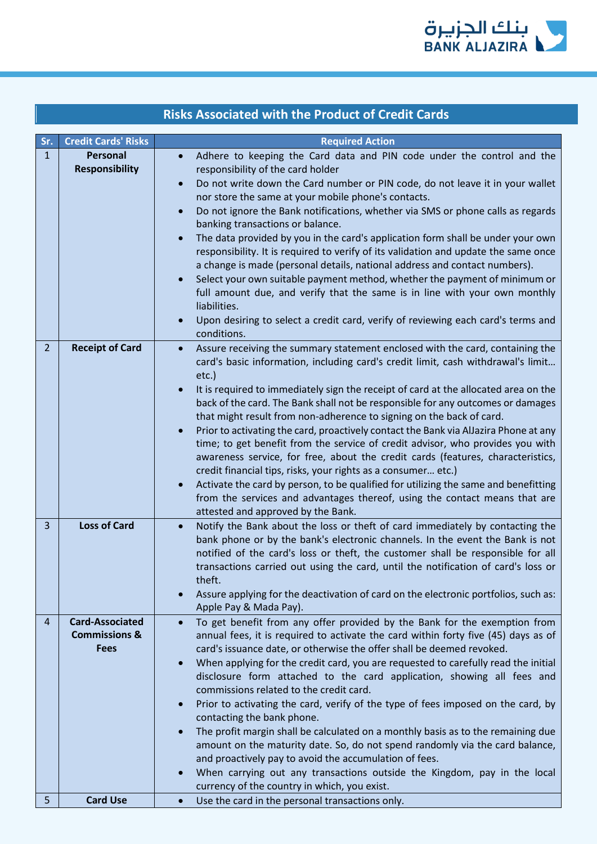

| <b>Risks Associated with the Product of Credit Cards</b> |                                                                   |                                                                                                                                                                                                                                                                                                                                                                                                                                                                                                                                                                                                                                                                                                                                                                                                                                                                                                                                                                                                                           |  |
|----------------------------------------------------------|-------------------------------------------------------------------|---------------------------------------------------------------------------------------------------------------------------------------------------------------------------------------------------------------------------------------------------------------------------------------------------------------------------------------------------------------------------------------------------------------------------------------------------------------------------------------------------------------------------------------------------------------------------------------------------------------------------------------------------------------------------------------------------------------------------------------------------------------------------------------------------------------------------------------------------------------------------------------------------------------------------------------------------------------------------------------------------------------------------|--|
| Sr.                                                      | <b>Credit Cards' Risks</b>                                        | <b>Required Action</b>                                                                                                                                                                                                                                                                                                                                                                                                                                                                                                                                                                                                                                                                                                                                                                                                                                                                                                                                                                                                    |  |
| $\mathbf{1}$                                             | <b>Personal</b><br><b>Responsibility</b>                          | Adhere to keeping the Card data and PIN code under the control and the<br>$\bullet$<br>responsibility of the card holder<br>Do not write down the Card number or PIN code, do not leave it in your wallet<br>$\bullet$<br>nor store the same at your mobile phone's contacts.<br>Do not ignore the Bank notifications, whether via SMS or phone calls as regards<br>banking transactions or balance.<br>The data provided by you in the card's application form shall be under your own<br>$\bullet$<br>responsibility. It is required to verify of its validation and update the same once<br>a change is made (personal details, national address and contact numbers).<br>Select your own suitable payment method, whether the payment of minimum or<br>full amount due, and verify that the same is in line with your own monthly<br>liabilities.<br>Upon desiring to select a credit card, verify of reviewing each card's terms and<br>conditions.                                                                  |  |
| $\overline{2}$                                           | <b>Receipt of Card</b>                                            | Assure receiving the summary statement enclosed with the card, containing the<br>$\bullet$<br>card's basic information, including card's credit limit, cash withdrawal's limit<br>etc.)<br>It is required to immediately sign the receipt of card at the allocated area on the<br>$\bullet$<br>back of the card. The Bank shall not be responsible for any outcomes or damages<br>that might result from non-adherence to signing on the back of card.<br>Prior to activating the card, proactively contact the Bank via AlJazira Phone at any<br>$\bullet$<br>time; to get benefit from the service of credit advisor, who provides you with<br>awareness service, for free, about the credit cards (features, characteristics,<br>credit financial tips, risks, your rights as a consumer etc.)<br>Activate the card by person, to be qualified for utilizing the same and benefitting<br>$\bullet$<br>from the services and advantages thereof, using the contact means that are<br>attested and approved by the Bank. |  |
| 3                                                        | <b>Loss of Card</b>                                               | Notify the Bank about the loss or theft of card immediately by contacting the<br>$\bullet$<br>bank phone or by the bank's electronic channels. In the event the Bank is not<br>notified of the card's loss or theft, the customer shall be responsible for all<br>transactions carried out using the card, until the notification of card's loss or<br>theft.<br>Assure applying for the deactivation of card on the electronic portfolios, such as:<br>$\bullet$<br>Apple Pay & Mada Pay).                                                                                                                                                                                                                                                                                                                                                                                                                                                                                                                               |  |
| 4                                                        | <b>Card-Associated</b><br><b>Commissions &amp;</b><br><b>Fees</b> | To get benefit from any offer provided by the Bank for the exemption from<br>$\bullet$<br>annual fees, it is required to activate the card within forty five (45) days as of<br>card's issuance date, or otherwise the offer shall be deemed revoked.<br>When applying for the credit card, you are requested to carefully read the initial<br>$\bullet$<br>disclosure form attached to the card application, showing all fees and<br>commissions related to the credit card.<br>Prior to activating the card, verify of the type of fees imposed on the card, by<br>$\bullet$<br>contacting the bank phone.<br>The profit margin shall be calculated on a monthly basis as to the remaining due<br>$\bullet$<br>amount on the maturity date. So, do not spend randomly via the card balance,<br>and proactively pay to avoid the accumulation of fees.<br>When carrying out any transactions outside the Kingdom, pay in the local<br>$\bullet$<br>currency of the country in which, you exist.                          |  |
| 5                                                        | <b>Card Use</b>                                                   | Use the card in the personal transactions only.<br>$\bullet$                                                                                                                                                                                                                                                                                                                                                                                                                                                                                                                                                                                                                                                                                                                                                                                                                                                                                                                                                              |  |